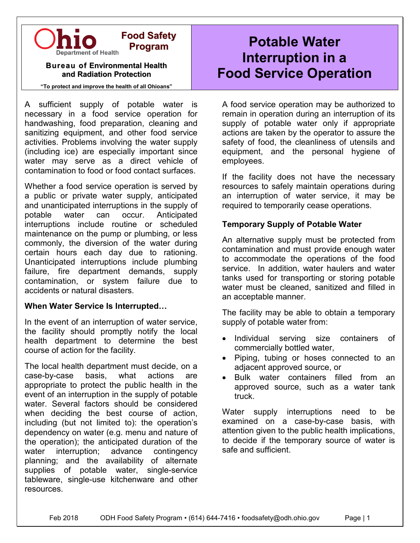

#### **Bureau of Environmental Health and Radiation Protection**

**Program**

**"To protect and improve the health of all Ohioans"**

A sufficient supply of potable water is necessary in a food service operation for handwashing, food preparation, cleaning and sanitizing equipment, and other food service activities. Problems involving the water supply (including ice) are especially important since water may serve as a direct vehicle of contamination to food or food contact surfaces.

Whether a food service operation is served by a public or private water supply, anticipated and unanticipated interruptions in the supply of potable water can occur. Anticipated interruptions include routine or scheduled maintenance on the pump or plumbing, or less commonly, the diversion of the water during certain hours each day due to rationing. Unanticipated interruptions include plumbing failure, fire department demands, supply contamination, or system failure due to accidents or natural disasters.

#### **When Water Service Is Interrupted…**

In the event of an interruption of water service, the facility should promptly notify the local health department to determine the best course of action for the facility.

The local health department must decide, on a case-by-case basis, what actions are appropriate to protect the public health in the event of an interruption in the supply of potable water. Several factors should be considered when deciding the best course of action, including (but not limited to): the operation's dependency on water (e.g. menu and nature of the operation); the anticipated duration of the water interruption; advance contingency planning; and the availability of alternate supplies of potable water, single-service tableware, single-use kitchenware and other resources.

# **Potable Water Interruption in a Food Service Operation**

A food service operation may be authorized to remain in operation during an interruption of its supply of potable water only if appropriate actions are taken by the operator to assure the safety of food, the cleanliness of utensils and equipment, and the personal hygiene of employees.

If the facility does not have the necessary resources to safely maintain operations during an interruption of water service, it may be required to temporarily cease operations.

#### **Temporary Supply of Potable Water**

An alternative supply must be protected from contamination and must provide enough water to accommodate the operations of the food service. In addition, water haulers and water tanks used for transporting or storing potable water must be cleaned, sanitized and filled in an acceptable manner.

The facility may be able to obtain a temporary supply of potable water from:

- Individual serving size containers of commercially bottled water,
- Piping, tubing or hoses connected to an adjacent approved source, or
- Bulk water containers filled from an approved source, such as a water tank truck.

Water supply interruptions need to be examined on a case-by-case basis, with attention given to the public health implications, to decide if the temporary source of water is safe and sufficient.